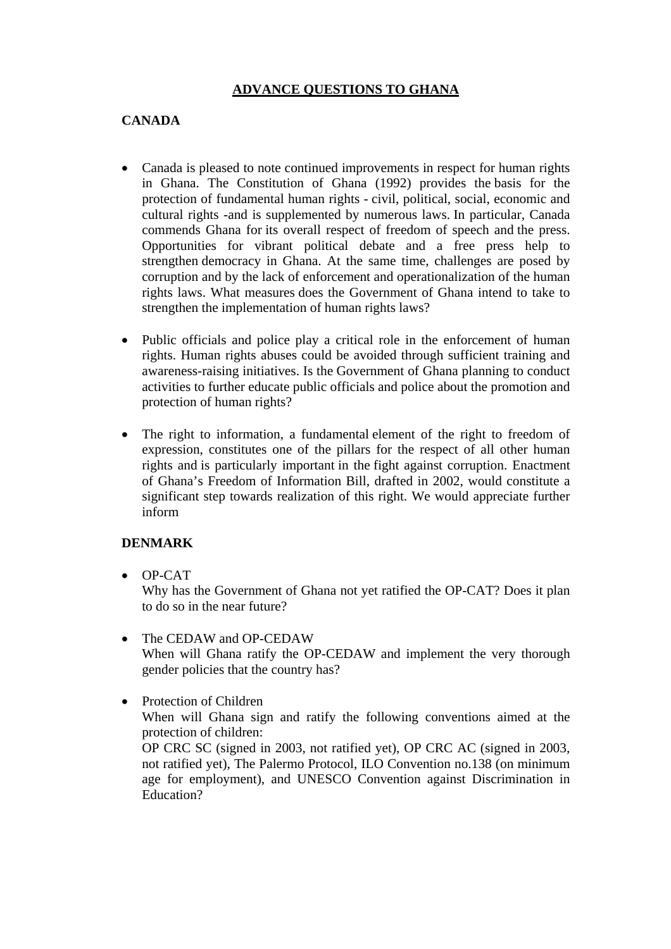# **ADVANCE QUESTIONS TO GHANA**

# **CANADA**

- Canada is pleased to note continued improvements in respect for human rights in Ghana. The Constitution of Ghana (1992) provides the basis for the protection of fundamental human rights - civil, political, social, economic and cultural rights -and is supplemented by numerous laws. In particular, Canada commends Ghana for its overall respect of freedom of speech and the press. Opportunities for vibrant political debate and a free press help to strengthen democracy in Ghana. At the same time, challenges are posed by corruption and by the lack of enforcement and operationalization of the human rights laws. What measures does the Government of Ghana intend to take to strengthen the implementation of human rights laws?
- Public officials and police play a critical role in the enforcement of human rights. Human rights abuses could be avoided through sufficient training and awareness-raising initiatives. Is the Government of Ghana planning to conduct activities to further educate public officials and police about the promotion and protection of human rights?
- The right to information, a fundamental element of the right to freedom of expression, constitutes one of the pillars for the respect of all other human rights and is particularly important in the fight against corruption. Enactment of Ghana's Freedom of Information Bill, drafted in 2002, would constitute a significant step towards realization of this right. We would appreciate further inform

## **DENMARK**

• OP-CAT

Why has the Government of Ghana not yet ratified the OP-CAT? Does it plan to do so in the near future?

• The CEDAW and OP-CEDAW When will Ghana ratify the OP-CEDAW and implement the very thorough gender policies that the country has?

• Protection of Children When will Ghana sign and ratify the following conventions aimed at the protection of children: OP CRC SC (signed in 2003, not ratified yet), OP CRC AC (signed in 2003, not ratified yet), The Palermo Protocol, ILO Convention no.138 (on minimum age for employment), and UNESCO Convention against Discrimination in Education?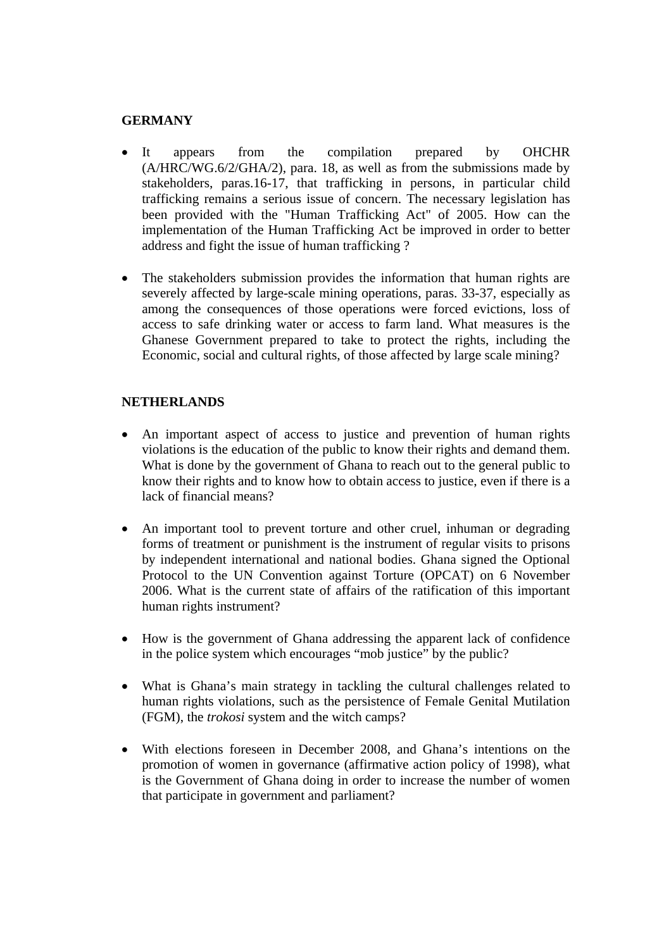#### **GERMANY**

- It appears from the compilation prepared by OHCHR (A/HRC/WG.6/2/GHA/2), para. 18, as well as from the submissions made by stakeholders, paras.16-17, that trafficking in persons, in particular child trafficking remains a serious issue of concern. The necessary legislation has been provided with the "Human Trafficking Act" of 2005. How can the implementation of the Human Trafficking Act be improved in order to better address and fight the issue of human trafficking ?
- The stakeholders submission provides the information that human rights are severely affected by large-scale mining operations, paras. 33-37, especially as among the consequences of those operations were forced evictions, loss of access to safe drinking water or access to farm land. What measures is the Ghanese Government prepared to take to protect the rights, including the Economic, social and cultural rights, of those affected by large scale mining?

## **NETHERLANDS**

- An important aspect of access to justice and prevention of human rights violations is the education of the public to know their rights and demand them. What is done by the government of Ghana to reach out to the general public to know their rights and to know how to obtain access to justice, even if there is a lack of financial means?
- An important tool to prevent torture and other cruel, inhuman or degrading forms of treatment or punishment is the instrument of regular visits to prisons by independent international and national bodies. Ghana signed the Optional Protocol to the UN Convention against Torture (OPCAT) on 6 November 2006. What is the current state of affairs of the ratification of this important human rights instrument?
- How is the government of Ghana addressing the apparent lack of confidence in the police system which encourages "mob justice" by the public?
- What is Ghana's main strategy in tackling the cultural challenges related to human rights violations, such as the persistence of Female Genital Mutilation (FGM), the *trokosi* system and the witch camps?
- With elections foreseen in December 2008, and Ghana's intentions on the promotion of women in governance (affirmative action policy of 1998), what is the Government of Ghana doing in order to increase the number of women that participate in government and parliament?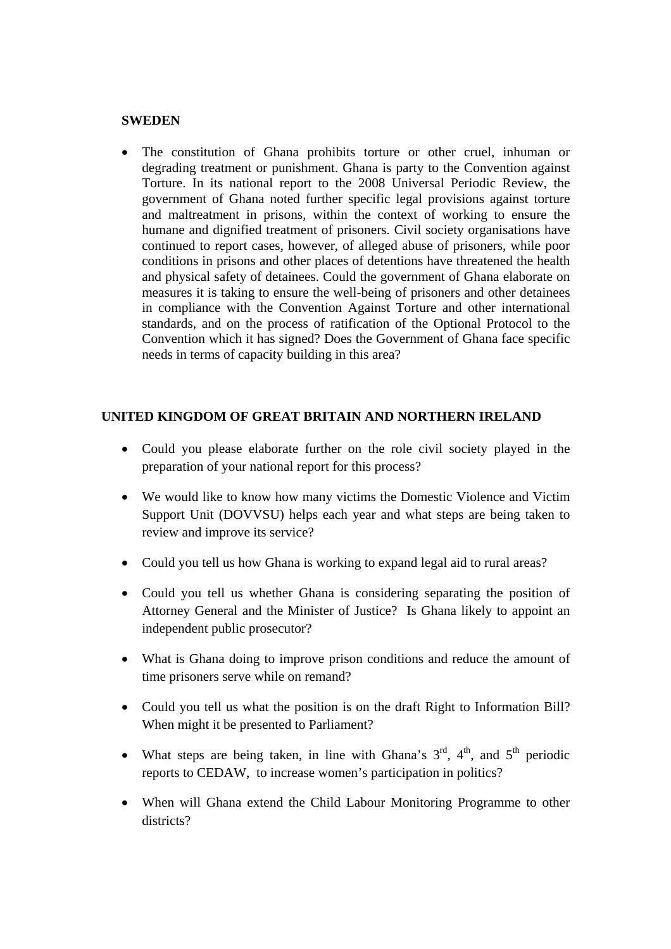#### **SWEDEN**

The constitution of Ghana prohibits torture or other cruel, inhuman or degrading treatment or punishment. Ghana is party to the Convention against Torture. In its national report to the 2008 Universal Periodic Review, the government of Ghana noted further specific legal provisions against torture and maltreatment in prisons, within the context of working to ensure the humane and dignified treatment of prisoners. Civil society organisations have continued to report cases, however, of alleged abuse of prisoners, while poor conditions in prisons and other places of detentions have threatened the health and physical safety of detainees. Could the government of Ghana elaborate on measures it is taking to ensure the well-being of prisoners and other detainees in compliance with the Convention Against Torture and other international standards, and on the process of ratification of the Optional Protocol to the Convention which it has signed? Does the Government of Ghana face specific needs in terms of capacity building in this area?

#### **UNITED KINGDOM OF GREAT BRITAIN AND NORTHERN IRELAND**

- Could you please elaborate further on the role civil society played in the preparation of your national report for this process?
- We would like to know how many victims the Domestic Violence and Victim Support Unit (DOVVSU) helps each year and what steps are being taken to review and improve its service?
- Could you tell us how Ghana is working to expand legal aid to rural areas?
- Could you tell us whether Ghana is considering separating the position of Attorney General and the Minister of Justice? Is Ghana likely to appoint an independent public prosecutor?
- What is Ghana doing to improve prison conditions and reduce the amount of time prisoners serve while on remand?
- Could you tell us what the position is on the draft Right to Information Bill? When might it be presented to Parliament?
- What steps are being taken, in line with Ghana's  $3^{rd}$ ,  $4^{th}$ , and  $5^{th}$  periodic reports to CEDAW, to increase women's participation in politics?
- When will Ghana extend the Child Labour Monitoring Programme to other districts?